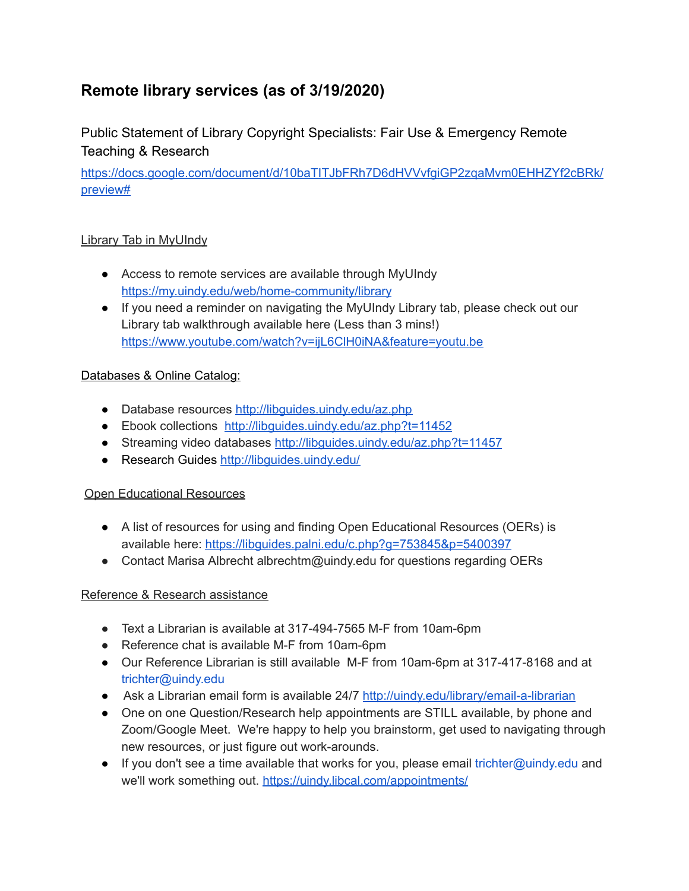# **Remote library services (as of 3/19/2020)**

Public Statement of Library Copyright Specialists: Fair Use & Emergency Remote Teaching & Research

[https://docs.google.com/document/d/10baTITJbFRh7D6dHVVvfgiGP2zqaMvm0EHHZYf2cBRk/](https://docs.google.com/document/d/10baTITJbFRh7D6dHVVvfgiGP2zqaMvm0EHHZYf2cBRk/preview#) [preview#](https://docs.google.com/document/d/10baTITJbFRh7D6dHVVvfgiGP2zqaMvm0EHHZYf2cBRk/preview#)

## Library Tab in MyUIndy

- Access to remote services are available through MyUInd[y](https://my.uindy.edu/web/home-community/library) <https://my.uindy.edu/web/home-community/library>
- If you need a reminder on navigating the MyUIndy Library tab, please check out our Library tab walkthrough available here (Less than 3 mins![\)](https://www.youtube.com/watch?v=ijL6ClH0iNA&feature=youtu.be) <https://www.youtube.com/watch?v=ijL6ClH0iNA&feature=youtu.be>

## Databases & Online Catalog:

- Database resources <http://libguides.uindy.edu/az.php>
- Ebook collections <http://libguides.uindy.edu/az.php?t=11452>
- Streaming video databases <http://libguides.uindy.edu/az.php?t=11457>
- Research Guides <http://libguides.uindy.edu/>

#### Open Educational Resources

- A list of resources for using and finding Open Educational Resources (OERs) is available here[:](https://libguides.palni.edu/c.php?g=753845&p=5400397) <https://libguides.palni.edu/c.php?g=753845&p=5400397>
- Contact Marisa Albrecht albrechtm@uindy.edu for questions regarding OERs

#### Reference & Research assistance

- Text a Librarian is available at 317-494-7565 M-F from 10am-6pm
- Reference chat is available M-F from 10am-6pm
- Our Reference Librarian is still available M-F from 10am-6pm at 317-417-8168 and at trichter@uindy.edu
- Ask a Librarian email form is available 24/7 <http://uindy.edu/library/email-a-librarian>
- One on one Question/Research help appointments are STILL available, by phone and Zoom/Google Meet. We're happy to help you brainstorm, get used to navigating through new resources, or just figure out work-arounds.
- $\bullet$  If you don't see a time available that works for you, please email trichter@uindy.edu and we'll work something out[.](https://uindy.libcal.com/appointments/) <https://uindy.libcal.com/appointments/>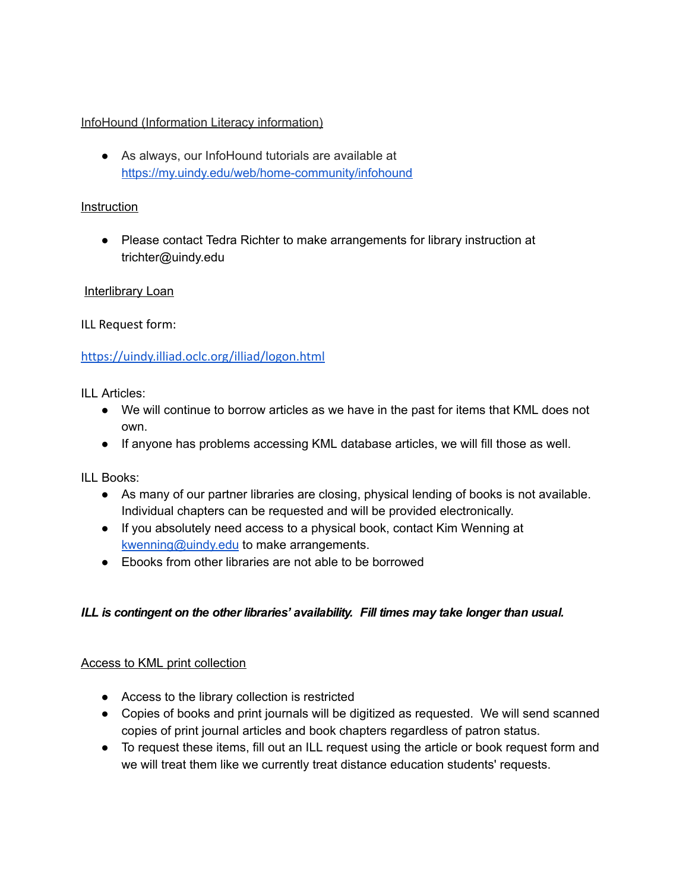#### InfoHound (Information Literacy information)

● As always, our InfoHound tutorials are available a[t](https://my.uindy.edu/web/home-community/infohound) <https://my.uindy.edu/web/home-community/infohound>

#### **Instruction**

● Please contact Tedra Richter to make arrangements for library instruction at trichter@uindy.edu

#### Interlibrary Loan

ILL Request form:

#### <https://uindy.illiad.oclc.org/illiad/logon.html>

ILL Articles:

- We will continue to borrow articles as we have in the past for items that KML does not own.
- If anyone has problems accessing KML database articles, we will fill those as well.

ILL Books:

- As many of our partner libraries are closing, physical lending of books is not available. Individual chapters can be requested and will be provided electronically.
- If you absolutely need access to a physical book, contact Kim Wenning at [kwenning@uindy.edu](mailto:kwenning@uindy.edu) to make arrangements.
- Ebooks from other libraries are not able to be borrowed

#### *ILL is contingent on the other libraries' availability. Fill times may take longer than usual.*

#### Access to KML print collection

- Access to the library collection is restricted
- Copies of books and print journals will be digitized as requested. We will send scanned copies of print journal articles and book chapters regardless of patron status.
- To request these items, fill out an ILL request using the article or book request form and we will treat them like we currently treat distance education students' requests.